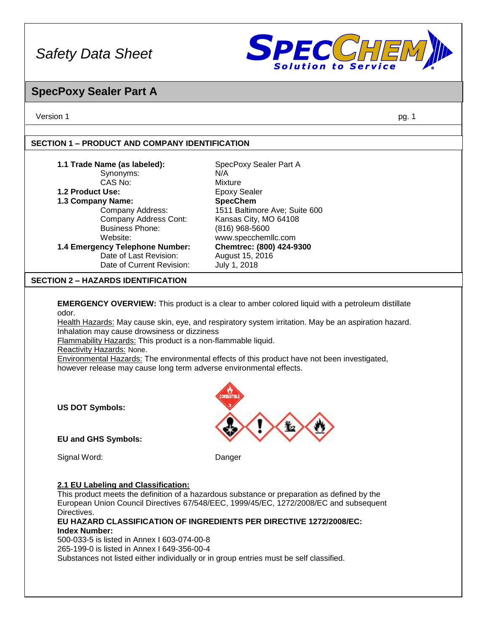

### **SpecPoxy Sealer Part A**

Version 1 pg. 1

### **SECTION 1 – PRODUCT AND COMPANY IDENTIFICATION**

| 1.1 Trade Name (as labeled):                       | SpecPoxy Sealer Part A        |
|----------------------------------------------------|-------------------------------|
| Synonyms:                                          | N/A                           |
| CAS No:                                            | Mixture                       |
| 1.2 Product Use:                                   | <b>Epoxy Sealer</b>           |
| 1.3 Company Name:                                  | <b>SpecChem</b>               |
| Company Address:                                   | 1511 Baltimore Ave; Suite 600 |
| Company Address Cont:                              | Kansas City, MO 64108         |
| <b>Business Phone:</b>                             | (816) 968-5600                |
| Website:                                           | www.specchemllc.com           |
| 1.4 Emergency Telephone Number:                    | Chemtrec: (800) 424-9300      |
| Date of Last Revision:                             | August 15, 2016               |
| Date of Current Revision:                          | July 1, 2018                  |
| <b>CECTION 2</b><br><b>LIAZADDE INEMTIEICATION</b> |                               |

#### **SECTION 2 – HAZARDS IDENTIFICATION**

**EMERGENCY OVERVIEW:** This product is a clear to amber colored liquid with a petroleum distillate odor.

Health Hazards: May cause skin, eye, and respiratory system irritation. May be an aspiration hazard. Inhalation may cause drowsiness or dizziness

Flammability Hazards: This product is a non-flammable liquid.

Reactivity Hazards: None.

Environmental Hazards: The environmental effects of this product have not been investigated, however release may cause long term adverse environmental effects.

**US DOT Symbols:**

**EU and GHS Symbols:** 

Signal Word: Danger

#### **2.1 EU Labeling and Classification:**

This product meets the definition of a hazardous substance or preparation as defined by the European Union Council Directives 67/548/EEC, 1999/45/EC, 1272/2008/EC and subsequent Directives.

**EU HAZARD CLASSIFICATION OF INGREDIENTS PER DIRECTIVE 1272/2008/EC: Index Number:**

500-033-5 is listed in Annex I 603-074-00-8 265-199-0 is listed in Annex I 649-356-00-4 Substances not listed either individually or in group entries must be self classified.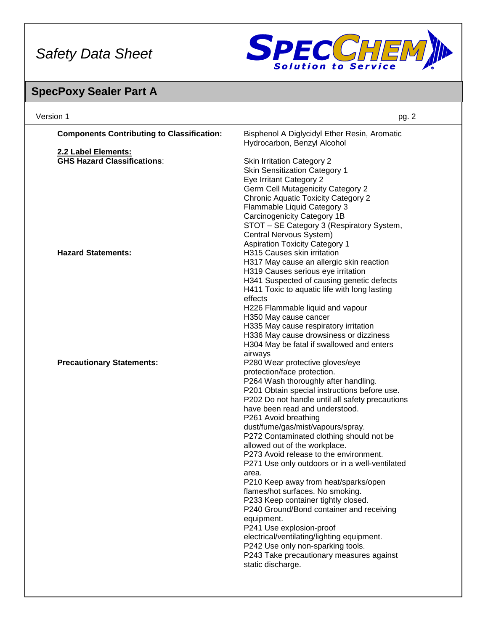

## **SpecPoxy Sealer Part A**

| <b>Components Contributing to Classification:</b><br>Bisphenol A Diglycidyl Ether Resin, Aromatic<br>Hydrocarbon, Benzyl Alcohol<br>2.2 Label Elements:<br><b>GHS Hazard Classifications:</b><br><b>Skin Irritation Category 2</b><br><b>Skin Sensitization Category 1</b><br>Eye Irritant Category 2<br><b>Germ Cell Mutagenicity Category 2</b><br><b>Chronic Aquatic Toxicity Category 2</b><br>Flammable Liquid Category 3<br>Carcinogenicity Category 1B<br>STOT - SE Category 3 (Respiratory System,<br>Central Nervous System)<br><b>Aspiration Toxicity Category 1</b><br><b>Hazard Statements:</b><br>H315 Causes skin irritation<br>H317 May cause an allergic skin reaction<br>H319 Causes serious eye irritation<br>H341 Suspected of causing genetic defects<br>H411 Toxic to aquatic life with long lasting<br>effects<br>H226 Flammable liquid and vapour<br>H350 May cause cancer<br>H335 May cause respiratory irritation<br>H336 May cause drowsiness or dizziness<br>H304 May be fatal if swallowed and enters<br>airways |
|----------------------------------------------------------------------------------------------------------------------------------------------------------------------------------------------------------------------------------------------------------------------------------------------------------------------------------------------------------------------------------------------------------------------------------------------------------------------------------------------------------------------------------------------------------------------------------------------------------------------------------------------------------------------------------------------------------------------------------------------------------------------------------------------------------------------------------------------------------------------------------------------------------------------------------------------------------------------------------------------------------------------------------------------|
|                                                                                                                                                                                                                                                                                                                                                                                                                                                                                                                                                                                                                                                                                                                                                                                                                                                                                                                                                                                                                                              |
|                                                                                                                                                                                                                                                                                                                                                                                                                                                                                                                                                                                                                                                                                                                                                                                                                                                                                                                                                                                                                                              |
|                                                                                                                                                                                                                                                                                                                                                                                                                                                                                                                                                                                                                                                                                                                                                                                                                                                                                                                                                                                                                                              |
|                                                                                                                                                                                                                                                                                                                                                                                                                                                                                                                                                                                                                                                                                                                                                                                                                                                                                                                                                                                                                                              |
|                                                                                                                                                                                                                                                                                                                                                                                                                                                                                                                                                                                                                                                                                                                                                                                                                                                                                                                                                                                                                                              |
|                                                                                                                                                                                                                                                                                                                                                                                                                                                                                                                                                                                                                                                                                                                                                                                                                                                                                                                                                                                                                                              |
|                                                                                                                                                                                                                                                                                                                                                                                                                                                                                                                                                                                                                                                                                                                                                                                                                                                                                                                                                                                                                                              |
|                                                                                                                                                                                                                                                                                                                                                                                                                                                                                                                                                                                                                                                                                                                                                                                                                                                                                                                                                                                                                                              |
|                                                                                                                                                                                                                                                                                                                                                                                                                                                                                                                                                                                                                                                                                                                                                                                                                                                                                                                                                                                                                                              |
|                                                                                                                                                                                                                                                                                                                                                                                                                                                                                                                                                                                                                                                                                                                                                                                                                                                                                                                                                                                                                                              |
|                                                                                                                                                                                                                                                                                                                                                                                                                                                                                                                                                                                                                                                                                                                                                                                                                                                                                                                                                                                                                                              |
|                                                                                                                                                                                                                                                                                                                                                                                                                                                                                                                                                                                                                                                                                                                                                                                                                                                                                                                                                                                                                                              |
|                                                                                                                                                                                                                                                                                                                                                                                                                                                                                                                                                                                                                                                                                                                                                                                                                                                                                                                                                                                                                                              |
|                                                                                                                                                                                                                                                                                                                                                                                                                                                                                                                                                                                                                                                                                                                                                                                                                                                                                                                                                                                                                                              |
|                                                                                                                                                                                                                                                                                                                                                                                                                                                                                                                                                                                                                                                                                                                                                                                                                                                                                                                                                                                                                                              |
|                                                                                                                                                                                                                                                                                                                                                                                                                                                                                                                                                                                                                                                                                                                                                                                                                                                                                                                                                                                                                                              |
|                                                                                                                                                                                                                                                                                                                                                                                                                                                                                                                                                                                                                                                                                                                                                                                                                                                                                                                                                                                                                                              |
|                                                                                                                                                                                                                                                                                                                                                                                                                                                                                                                                                                                                                                                                                                                                                                                                                                                                                                                                                                                                                                              |
|                                                                                                                                                                                                                                                                                                                                                                                                                                                                                                                                                                                                                                                                                                                                                                                                                                                                                                                                                                                                                                              |
|                                                                                                                                                                                                                                                                                                                                                                                                                                                                                                                                                                                                                                                                                                                                                                                                                                                                                                                                                                                                                                              |
|                                                                                                                                                                                                                                                                                                                                                                                                                                                                                                                                                                                                                                                                                                                                                                                                                                                                                                                                                                                                                                              |
|                                                                                                                                                                                                                                                                                                                                                                                                                                                                                                                                                                                                                                                                                                                                                                                                                                                                                                                                                                                                                                              |
|                                                                                                                                                                                                                                                                                                                                                                                                                                                                                                                                                                                                                                                                                                                                                                                                                                                                                                                                                                                                                                              |
|                                                                                                                                                                                                                                                                                                                                                                                                                                                                                                                                                                                                                                                                                                                                                                                                                                                                                                                                                                                                                                              |
| P280 Wear protective gloves/eye<br><b>Precautionary Statements:</b>                                                                                                                                                                                                                                                                                                                                                                                                                                                                                                                                                                                                                                                                                                                                                                                                                                                                                                                                                                          |
| protection/face protection.                                                                                                                                                                                                                                                                                                                                                                                                                                                                                                                                                                                                                                                                                                                                                                                                                                                                                                                                                                                                                  |
| P264 Wash thoroughly after handling.                                                                                                                                                                                                                                                                                                                                                                                                                                                                                                                                                                                                                                                                                                                                                                                                                                                                                                                                                                                                         |
| P201 Obtain special instructions before use.                                                                                                                                                                                                                                                                                                                                                                                                                                                                                                                                                                                                                                                                                                                                                                                                                                                                                                                                                                                                 |
| P202 Do not handle until all safety precautions                                                                                                                                                                                                                                                                                                                                                                                                                                                                                                                                                                                                                                                                                                                                                                                                                                                                                                                                                                                              |
| have been read and understood.                                                                                                                                                                                                                                                                                                                                                                                                                                                                                                                                                                                                                                                                                                                                                                                                                                                                                                                                                                                                               |
| P261 Avoid breathing                                                                                                                                                                                                                                                                                                                                                                                                                                                                                                                                                                                                                                                                                                                                                                                                                                                                                                                                                                                                                         |
| dust/fume/gas/mist/vapours/spray.                                                                                                                                                                                                                                                                                                                                                                                                                                                                                                                                                                                                                                                                                                                                                                                                                                                                                                                                                                                                            |
| P272 Contaminated clothing should not be                                                                                                                                                                                                                                                                                                                                                                                                                                                                                                                                                                                                                                                                                                                                                                                                                                                                                                                                                                                                     |
| allowed out of the workplace.                                                                                                                                                                                                                                                                                                                                                                                                                                                                                                                                                                                                                                                                                                                                                                                                                                                                                                                                                                                                                |
| P273 Avoid release to the environment.                                                                                                                                                                                                                                                                                                                                                                                                                                                                                                                                                                                                                                                                                                                                                                                                                                                                                                                                                                                                       |
| P271 Use only outdoors or in a well-ventilated                                                                                                                                                                                                                                                                                                                                                                                                                                                                                                                                                                                                                                                                                                                                                                                                                                                                                                                                                                                               |
| area.                                                                                                                                                                                                                                                                                                                                                                                                                                                                                                                                                                                                                                                                                                                                                                                                                                                                                                                                                                                                                                        |
| P210 Keep away from heat/sparks/open                                                                                                                                                                                                                                                                                                                                                                                                                                                                                                                                                                                                                                                                                                                                                                                                                                                                                                                                                                                                         |
| flames/hot surfaces. No smoking.                                                                                                                                                                                                                                                                                                                                                                                                                                                                                                                                                                                                                                                                                                                                                                                                                                                                                                                                                                                                             |
| P233 Keep container tightly closed.                                                                                                                                                                                                                                                                                                                                                                                                                                                                                                                                                                                                                                                                                                                                                                                                                                                                                                                                                                                                          |
| P240 Ground/Bond container and receiving                                                                                                                                                                                                                                                                                                                                                                                                                                                                                                                                                                                                                                                                                                                                                                                                                                                                                                                                                                                                     |
| equipment.                                                                                                                                                                                                                                                                                                                                                                                                                                                                                                                                                                                                                                                                                                                                                                                                                                                                                                                                                                                                                                   |
| P241 Use explosion-proof                                                                                                                                                                                                                                                                                                                                                                                                                                                                                                                                                                                                                                                                                                                                                                                                                                                                                                                                                                                                                     |
| electrical/ventilating/lighting equipment.                                                                                                                                                                                                                                                                                                                                                                                                                                                                                                                                                                                                                                                                                                                                                                                                                                                                                                                                                                                                   |
| P242 Use only non-sparking tools.                                                                                                                                                                                                                                                                                                                                                                                                                                                                                                                                                                                                                                                                                                                                                                                                                                                                                                                                                                                                            |
| P243 Take precautionary measures against                                                                                                                                                                                                                                                                                                                                                                                                                                                                                                                                                                                                                                                                                                                                                                                                                                                                                                                                                                                                     |
| static discharge.                                                                                                                                                                                                                                                                                                                                                                                                                                                                                                                                                                                                                                                                                                                                                                                                                                                                                                                                                                                                                            |
|                                                                                                                                                                                                                                                                                                                                                                                                                                                                                                                                                                                                                                                                                                                                                                                                                                                                                                                                                                                                                                              |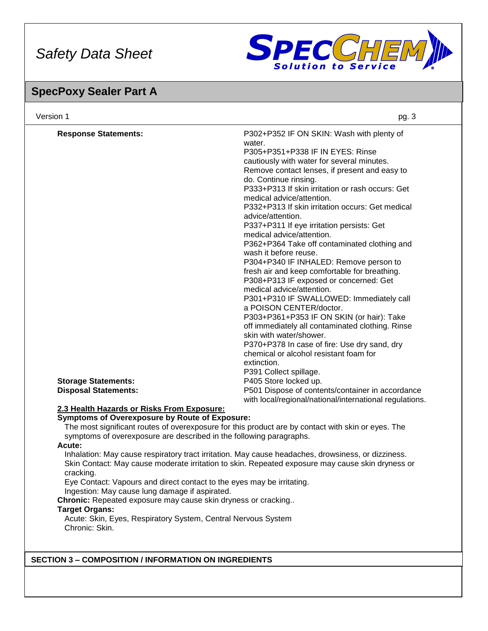

### **SpecPoxy Sealer Part A**

| <b>Response Statements:</b>                                                                              | P302+P352 IF ON SKIN: Wash with plenty of                                                          |
|----------------------------------------------------------------------------------------------------------|----------------------------------------------------------------------------------------------------|
|                                                                                                          | water.<br>P305+P351+P338 IF IN EYES: Rinse                                                         |
|                                                                                                          |                                                                                                    |
|                                                                                                          | cautiously with water for several minutes.<br>Remove contact lenses, if present and easy to        |
|                                                                                                          | do. Continue rinsing.                                                                              |
|                                                                                                          | P333+P313 If skin irritation or rash occurs: Get                                                   |
|                                                                                                          | medical advice/attention.                                                                          |
|                                                                                                          | P332+P313 If skin irritation occurs: Get medical                                                   |
|                                                                                                          | advice/attention.                                                                                  |
|                                                                                                          | P337+P311 If eye irritation persists: Get                                                          |
|                                                                                                          | medical advice/attention.                                                                          |
|                                                                                                          | P362+P364 Take off contaminated clothing and                                                       |
|                                                                                                          | wash it before reuse.                                                                              |
|                                                                                                          | P304+P340 IF INHALED: Remove person to                                                             |
|                                                                                                          | fresh air and keep comfortable for breathing.                                                      |
|                                                                                                          | P308+P313 IF exposed or concerned: Get                                                             |
|                                                                                                          | medical advice/attention.                                                                          |
|                                                                                                          | P301+P310 IF SWALLOWED: Immediately call                                                           |
|                                                                                                          | a POISON CENTER/doctor.                                                                            |
|                                                                                                          | P303+P361+P353 IF ON SKIN (or hair): Take                                                          |
|                                                                                                          | off immediately all contaminated clothing. Rinse                                                   |
|                                                                                                          | skin with water/shower.                                                                            |
|                                                                                                          | P370+P378 In case of fire: Use dry sand, dry                                                       |
|                                                                                                          | chemical or alcohol resistant foam for                                                             |
|                                                                                                          | extinction.<br>P391 Collect spillage.                                                              |
| <b>Storage Statements:</b>                                                                               | P405 Store locked up.                                                                              |
| <b>Disposal Statements:</b>                                                                              | P501 Dispose of contents/container in accordance                                                   |
|                                                                                                          | with local/regional/national/international regulations.                                            |
| 2.3 Health Hazards or Risks From Exposure:                                                               |                                                                                                    |
| <b>Symptoms of Overexposure by Route of Exposure:</b>                                                    |                                                                                                    |
|                                                                                                          | The most significant routes of overexposure for this product are by contact with skin or eyes. The |
| symptoms of overexposure are described in the following paragraphs.                                      |                                                                                                    |
| Acute:                                                                                                   |                                                                                                    |
|                                                                                                          | Inhalation: May cause respiratory tract irritation. May cause headaches, drowsiness, or dizziness. |
| cracking.                                                                                                | Skin Contact: May cause moderate irritation to skin. Repeated exposure may cause skin dryness or   |
| Eye Contact: Vapours and direct contact to the eyes may be irritating.                                   |                                                                                                    |
| Ingestion: May cause lung damage if aspirated.                                                           |                                                                                                    |
| Chronic: Repeated exposure may cause skin dryness or cracking                                            |                                                                                                    |
| <b>Target Organs:</b><br>Acute: Skin, Eyes, Respiratory System, Central Nervous System<br>Chronic: Skin. |                                                                                                    |
|                                                                                                          |                                                                                                    |
|                                                                                                          |                                                                                                    |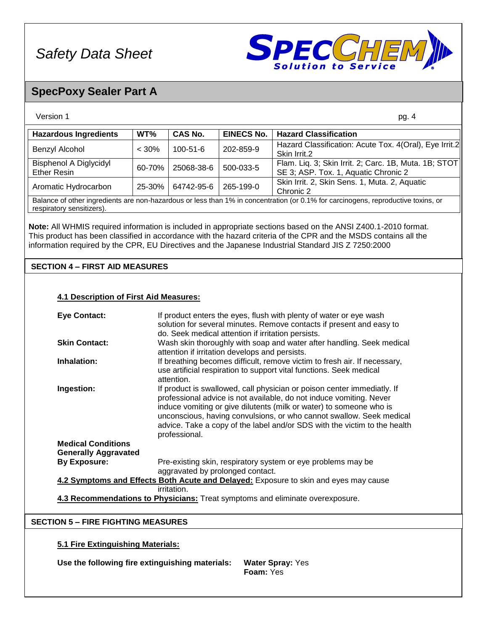

### **SpecPoxy Sealer Part A**

| Version 1                                                                                                                                                                                                                          |          |                |                   | pg. 4                                                                                         |
|------------------------------------------------------------------------------------------------------------------------------------------------------------------------------------------------------------------------------------|----------|----------------|-------------------|-----------------------------------------------------------------------------------------------|
| <b>Hazardous Ingredients</b>                                                                                                                                                                                                       | WT%      | <b>CAS No.</b> | <b>EINECS No.</b> | <b>Hazard Classification</b>                                                                  |
| Benzyl Alcohol                                                                                                                                                                                                                     | $< 30\%$ | $100 - 51 - 6$ | 202-859-9         | Hazard Classification: Acute Tox. 4(Oral), Eye Irrit.2<br>Skin Irrit.2                        |
| <b>Bisphenol A Diglycidyl</b><br><b>Ether Resin</b>                                                                                                                                                                                | 60-70%   | 25068-38-6     | 500-033-5         | Flam. Liq. 3; Skin Irrit. 2; Carc. 1B, Muta. 1B; STOT<br>SE 3; ASP. Tox. 1, Aquatic Chronic 2 |
| Aromatic Hydrocarbon                                                                                                                                                                                                               | 25-30%   | 64742-95-6     | 265-199-0         | Skin Irrit. 2, Skin Sens. 1, Muta. 2, Aquatic<br>Chronic 2                                    |
| Balance of other ingredients are non-hazardous or less than 1% in concentration (or 0.1% for carcinogens, reproductive toxins, or<br>respiratory sensitizers).                                                                     |          |                |                   |                                                                                               |
| Note: All WHMIS required information is included in appropriate sections based on the ANSI Z400.1-2010 format.<br>This product has been classified in accordance with the hazard criteria of the CPR and the MSDS contains all the |          |                |                   |                                                                                               |

information required by the CPR, EU Directives and the Japanese Industrial Standard JIS Z 7250:2000

### **SECTION 4 – FIRST AID MEASURES**

#### **4.1 Description of First Aid Measures:**

| <b>Eye Contact:</b>                                | If product enters the eyes, flush with plenty of water or eye wash<br>solution for several minutes. Remove contacts if present and easy to<br>do. Seek medical attention if irritation persists.                                                                                                                                                                                            |
|----------------------------------------------------|---------------------------------------------------------------------------------------------------------------------------------------------------------------------------------------------------------------------------------------------------------------------------------------------------------------------------------------------------------------------------------------------|
| <b>Skin Contact:</b>                               | Wash skin thoroughly with soap and water after handling. Seek medical<br>attention if irritation develops and persists.                                                                                                                                                                                                                                                                     |
| Inhalation:                                        | If breathing becomes difficult, remove victim to fresh air. If necessary,<br>use artificial respiration to support vital functions. Seek medical<br>attention.                                                                                                                                                                                                                              |
| Ingestion:                                         | If product is swallowed, call physician or poison center immediatly. If<br>professional advice is not available, do not induce vomiting. Never<br>induce vomiting or give dilutents (milk or water) to someone who is<br>unconscious, having convulsions, or who cannot swallow. Seek medical<br>advice. Take a copy of the label and/or SDS with the victim to the health<br>professional. |
| <b>Medical Conditions</b>                          |                                                                                                                                                                                                                                                                                                                                                                                             |
| <b>Generally Aggravated</b><br><b>By Exposure:</b> | Pre-existing skin, respiratory system or eye problems may be<br>aggravated by prolonged contact.                                                                                                                                                                                                                                                                                            |
|                                                    | 4.2 Symptoms and Effects Both Acute and Delayed: Exposure to skin and eyes may cause                                                                                                                                                                                                                                                                                                        |
|                                                    | <i>irritation.</i><br>4.3 Recommendations to Physicians: Treat symptoms and eliminate overexposure.                                                                                                                                                                                                                                                                                         |

### **SECTION 5 – FIRE FIGHTING MEASURES**

### **5.1 Fire Extinguishing Materials:**

**Use the following fire extinguishing materials: Water Spray:** Yes

**Foam:** Yes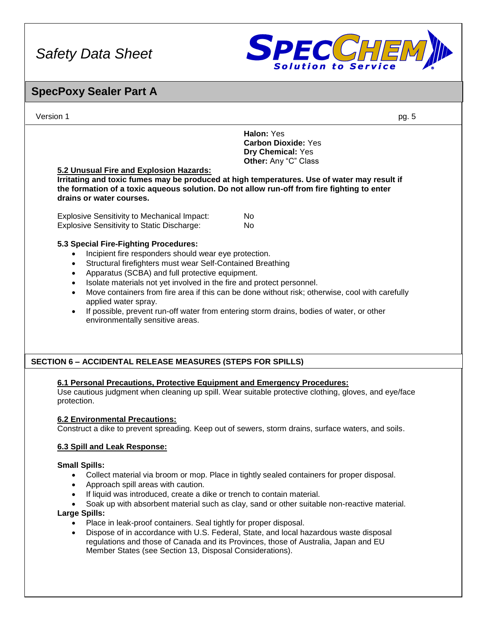

### Version 1 pg. 5 **SpecPoxy Sealer Part A Halon:** Yes **Carbon Dioxide:** Yes **Dry Chemical:** Yes **Other:** Any "C" Class **5.2 Unusual Fire and Explosion Hazards: Irritating and toxic fumes may be produced at high temperatures. Use of water may result if the formation of a toxic aqueous solution. Do not allow run-off from fire fighting to enter drains or water courses.** Explosive Sensitivity to Mechanical Impact: No Explosive Sensitivity to Static Discharge: No **5.3 Special Fire-Fighting Procedures:** • Incipient fire responders should wear eye protection. • Structural firefighters must wear Self-Contained Breathing • Apparatus (SCBA) and full protective equipment. • Isolate materials not yet involved in the fire and protect personnel. • Move containers from fire area if this can be done without risk; otherwise, cool with carefully applied water spray. If possible, prevent run-off water from entering storm drains, bodies of water, or other environmentally sensitive areas. **6.1 Personal Precautions, Protective Equipment and Emergency Procedures:** Use cautious judgment when cleaning up spill. Wear suitable protective clothing, gloves, and eye/face protection. **6.2 Environmental Precautions:** Construct a dike to prevent spreading. Keep out of sewers, storm drains, surface waters, and soils. **6.3 Spill and Leak Response: Small Spills:**  • Collect material via broom or mop. Place in tightly sealed containers for proper disposal. • Approach spill areas with caution. If liquid was introduced, create a dike or trench to contain material. • Soak up with absorbent material such as clay, sand or other suitable non-reactive material. **Large Spills:** • Place in leak-proof containers. Seal tightly for proper disposal. • Dispose of in accordance with U.S. Federal, State, and local hazardous waste disposal regulations and those of Canada and its Provinces, those of Australia, Japan and EU Member States (see Section 13, Disposal Considerations). **SECTION 6 – ACCIDENTAL RELEASE MEASURES (STEPS FOR SPILLS)**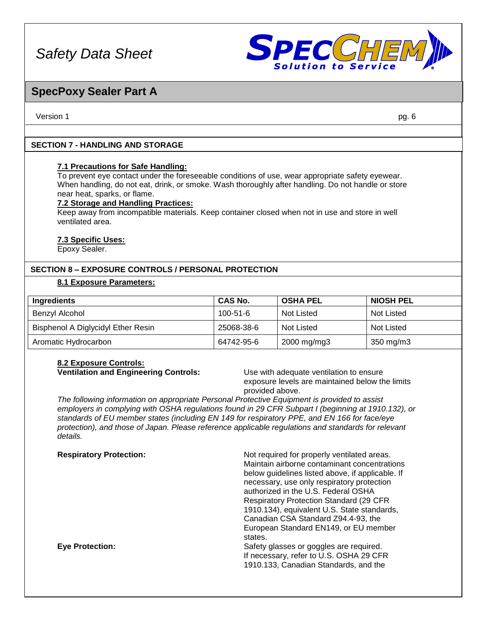

### **SpecPoxy Sealer Part A**

Version 1 pg. 6

### **SECTION 7 - HANDLING AND STORAGE**

#### **7.1 Precautions for Safe Handling:**

To prevent eye contact under the foreseeable conditions of use, wear appropriate safety eyewear. When handling, do not eat, drink, or smoke. Wash thoroughly after handling. Do not handle or store near heat, sparks, or flame.

#### **7.2 Storage and Handling Practices:**

Keep away from incompatible materials. Keep container closed when not in use and store in well ventilated area.

#### **7.3 Specific Uses:**

Epoxy Sealer.

#### **SECTION 8 – EXPOSURE CONTROLS / PERSONAL PROTECTION**

### **8.1 Exposure Parameters:**

| Ingredients                        | CAS No.        | <b>OSHA PEL</b>   | <b>NIOSH PEL</b> |
|------------------------------------|----------------|-------------------|------------------|
| Benzyl Alcohol                     | $100 - 51 - 6$ | <b>Not Listed</b> | Not Listed       |
| Bisphenol A Diglycidyl Ether Resin | 25068-38-6     | Not Listed        | Not Listed       |
| Aromatic Hydrocarbon               | 64742-95-6     | 2000 mg/mg3       | 350 mg/m3        |

#### **8.2 Exposure Controls: Ventilation and Engineering Controls:** Use with adequate ventilation to ensure

exposure levels are maintained below the limits provided above.

*The following information on appropriate Personal Protective Equipment is provided to assist employers in complying with OSHA regulations found in 29 CFR Subpart I (beginning at 1910.132), or standards of EU member states (including EN 149 for respiratory PPE, and EN 166 for face/eye protection), and those of Japan. Please reference applicable regulations and standards for relevant details.*

| <b>Respiratory Protection:</b> | Not required for properly ventilated areas.<br>Maintain airborne contaminant concentrations<br>below guidelines listed above, if applicable. If |
|--------------------------------|-------------------------------------------------------------------------------------------------------------------------------------------------|
|                                | necessary, use only respiratory protection<br>authorized in the U.S. Federal OSHA                                                               |
|                                | <b>Respiratory Protection Standard (29 CFR)</b><br>1910.134), equivalent U.S. State standards,                                                  |
|                                | Canadian CSA Standard Z94.4-93, the                                                                                                             |
|                                | European Standard EN149, or EU member<br>states.                                                                                                |
| <b>Eve Protection:</b>         | Safety glasses or goggles are required.<br>If necessary, refer to U.S. OSHA 29 CFR<br>1910.133, Canadian Standards, and the                     |
|                                |                                                                                                                                                 |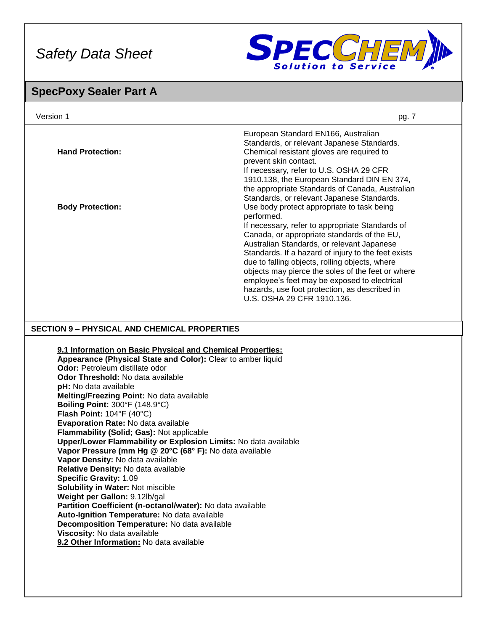

### **SpecPoxy Sealer Part A**

| Version 1                                                                                                                                                                                                                                                                                                                                              | pg. 7                                                                                                                                                                                                                                                                                                   |
|--------------------------------------------------------------------------------------------------------------------------------------------------------------------------------------------------------------------------------------------------------------------------------------------------------------------------------------------------------|---------------------------------------------------------------------------------------------------------------------------------------------------------------------------------------------------------------------------------------------------------------------------------------------------------|
| <b>Hand Protection:</b>                                                                                                                                                                                                                                                                                                                                | European Standard EN166, Australian<br>Standards, or relevant Japanese Standards.<br>Chemical resistant gloves are required to<br>prevent skin contact.<br>If necessary, refer to U.S. OSHA 29 CFR                                                                                                      |
| <b>Body Protection:</b>                                                                                                                                                                                                                                                                                                                                | 1910.138, the European Standard DIN EN 374,<br>the appropriate Standards of Canada, Australian<br>Standards, or relevant Japanese Standards.<br>Use body protect appropriate to task being<br>performed.<br>If necessary, refer to appropriate Standards of                                             |
|                                                                                                                                                                                                                                                                                                                                                        | Canada, or appropriate standards of the EU,<br>Australian Standards, or relevant Japanese<br>Standards. If a hazard of injury to the feet exists<br>due to falling objects, rolling objects, where<br>objects may pierce the soles of the feet or where<br>employee's feet may be exposed to electrical |
|                                                                                                                                                                                                                                                                                                                                                        | hazards, use foot protection, as described in<br>U.S. OSHA 29 CFR 1910.136.                                                                                                                                                                                                                             |
| <b>SECTION 9 - PHYSICAL AND CHEMICAL PROPERTIES</b>                                                                                                                                                                                                                                                                                                    |                                                                                                                                                                                                                                                                                                         |
| 9.1 Information on Basic Physical and Chemical Properties:<br>Appearance (Physical State and Color): Clear to amber liquid<br>Odor: Petroleum distillate odor<br>Odor Threshold: No data available<br>pH: No data available<br>Melting/Freezing Point: No data available<br>Boiling Point: 300°F (148.9°C)<br>Flash Point: $104^{\circ}F(40^{\circ}C)$ |                                                                                                                                                                                                                                                                                                         |
| Evaporation Rate: No data available<br>Flammability (Solid; Gas): Not applicable<br>Upper/Lower Flammability or Explosion Limits: No data available<br>Vapor Pressure (mm Hg @ 20°C (68° F): No data available<br>Vapor Density: No data available<br>Relative Density: No data available                                                              |                                                                                                                                                                                                                                                                                                         |
| <b>Specific Gravity: 1.09</b><br>Solubility in Water: Not miscible<br>Weight per Gallon: 9.12lb/gal<br>Partition Coefficient (n-octanol/water): No data available                                                                                                                                                                                      |                                                                                                                                                                                                                                                                                                         |

**Auto-Ignition Temperature:** No data available **Decomposition Temperature:** No data available

**Viscosity:** No data available

**9.2 Other Information:** No data available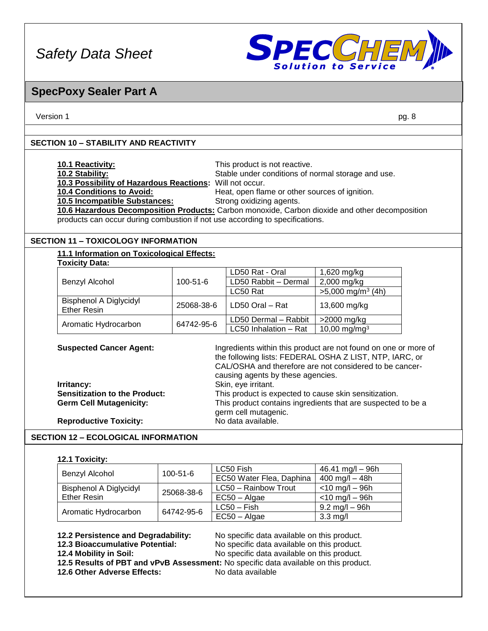

### **SpecPoxy Sealer Part A**

Version 1 pg. 8

### **SECTION 10 – STABILITY AND REACTIVITY**

| <b>10.1 Reactivity:</b>                                  | This product is not reactive.                                                                  |
|----------------------------------------------------------|------------------------------------------------------------------------------------------------|
| 10.2 Stability:                                          | Stable under conditions of normal storage and use.                                             |
| 10.3 Possibility of Hazardous Reactions: Will not occur. |                                                                                                |
| <b>10.4 Conditions to Avoid:</b>                         | Heat, open flame or other sources of ignition.                                                 |
| 10.5 Incompatible Substances:                            | Strong oxidizing agents.                                                                       |
|                                                          | 10.6 Hazardous Decomposition Products: Carbon monoxide, Carbon dioxide and other decomposition |

products can occur during combustion if not use according to specifications.

### **SECTION 11 – TOXICOLOGY INFORMATION**

#### **11.1 Information on Toxicological Effects: Toxicity Data:**

|                                                     |            | LD50 Rat - Oral       | 1,620 mg/kg                     |
|-----------------------------------------------------|------------|-----------------------|---------------------------------|
| Benzyl Alcohol                                      | 100-51-6   | LD50 Rabbit - Dermal  | 2,000 mg/kg                     |
|                                                     |            | LC50 Rat              | $>5,000$ mg/m <sup>3</sup> (4h) |
| <b>Bisphenol A Diglycidyl</b><br><b>Ether Resin</b> | 25068-38-6 | LD50 Oral - Rat       | 13,600 mg/kg                    |
|                                                     | 64742-95-6 | LD50 Dermal - Rabbit  | >2000 mg/kg                     |
| Aromatic Hydrocarbon                                |            | LC50 Inhalation - Rat | 10,00 mg/mg <sup>3</sup>        |

**Suspected Cancer Agent:** Ingredients within this product are not found on one or more of

|                                      | the following lists: FEDERAL OSHA Z LIST, NTP, IARC, or<br>CAL/OSHA and therefore are not considered to be cancer- |
|--------------------------------------|--------------------------------------------------------------------------------------------------------------------|
|                                      | causing agents by these agencies.                                                                                  |
| Irritancy:                           | Skin, eye irritant.                                                                                                |
| <b>Sensitization to the Product:</b> | This product is expected to cause skin sensitization.                                                              |
| <b>Germ Cell Mutagenicity:</b>       | This product contains ingredients that are suspected to be a<br>germ cell mutagenic.                               |
| <b>Reproductive Toxicity:</b>        | No data available.                                                                                                 |

### **SECTION 12 – ECOLOGICAL INFORMATION**

#### **12.1 Toxicity:**

|                               | $100 - 51 - 6$ | LC50 Fish                | $46.41$ mg/l $-96h$              |
|-------------------------------|----------------|--------------------------|----------------------------------|
| Benzyl Alcohol                |                | EC50 Water Flea, Daphina | $400 \text{ mg/l} - 48h$         |
| <b>Bisphenol A Diglycidyl</b> | 25068-38-6     | LC50 - Rainbow Trout     | $<$ 10 mg/l – 96h                |
| <b>Ether Resin</b>            |                | EC50 – Algae             | $<$ 10 mg/l – 96h                |
|                               | 64742-95-6     | $LC50 - Fish$            | $9.2 \text{ mg/l} - 96 \text{h}$ |
| Aromatic Hydrocarbon          |                | EC50 - Algae             | $3.3 \text{ mg/l}$               |

**12.2 Persistence and Degradability:** No specific data available on this product. **12.3 Bioaccumulative Potential:** No specific data available on this product. **12.4 Mobility in Soil:** No specific data available on this product.

**12.5 Results of PBT and vPvB Assessment:** No specific data available on this product. **12.6 Other Adverse Effects:** No data available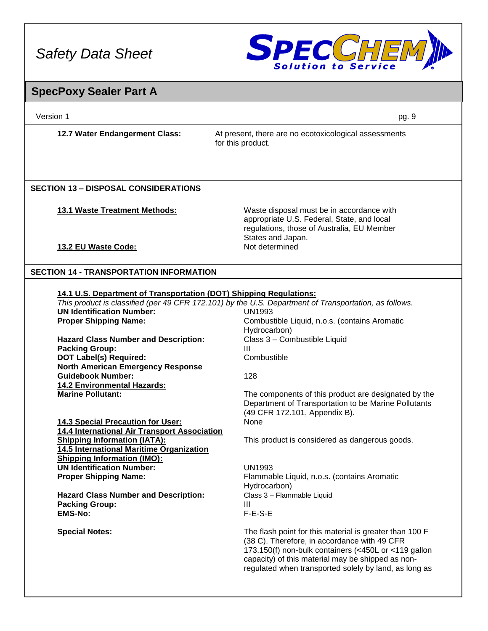

## **SpecPoxy Sealer Part A**

| Version 1                                                                       | pg. 9                                                                                                                                                                                                                                                                         |
|---------------------------------------------------------------------------------|-------------------------------------------------------------------------------------------------------------------------------------------------------------------------------------------------------------------------------------------------------------------------------|
| 12.7 Water Endangerment Class:                                                  | At present, there are no ecotoxicological assessments<br>for this product.                                                                                                                                                                                                    |
|                                                                                 |                                                                                                                                                                                                                                                                               |
| <b>SECTION 13 - DISPOSAL CONSIDERATIONS</b>                                     |                                                                                                                                                                                                                                                                               |
|                                                                                 |                                                                                                                                                                                                                                                                               |
| <b>13.1 Waste Treatment Methods:</b>                                            | Waste disposal must be in accordance with<br>appropriate U.S. Federal, State, and local<br>regulations, those of Australia, EU Member                                                                                                                                         |
|                                                                                 | States and Japan.<br>Not determined                                                                                                                                                                                                                                           |
| 13.2 EU Waste Code:                                                             |                                                                                                                                                                                                                                                                               |
|                                                                                 |                                                                                                                                                                                                                                                                               |
| <b>SECTION 14 - TRANSPORTATION INFORMATION</b>                                  |                                                                                                                                                                                                                                                                               |
| 14.1 U.S. Department of Transportation (DOT) Shipping Regulations:              |                                                                                                                                                                                                                                                                               |
|                                                                                 | This product is classified (per 49 CFR 172.101) by the U.S. Department of Transportation, as follows.                                                                                                                                                                         |
| <b>UN Identification Number:</b>                                                | <b>UN1993</b>                                                                                                                                                                                                                                                                 |
| <b>Proper Shipping Name:</b>                                                    | Combustible Liquid, n.o.s. (contains Aromatic                                                                                                                                                                                                                                 |
|                                                                                 | Hydrocarbon)                                                                                                                                                                                                                                                                  |
| <b>Hazard Class Number and Description:</b>                                     | Class 3 - Combustible Liquid                                                                                                                                                                                                                                                  |
| <b>Packing Group:</b>                                                           | Ш                                                                                                                                                                                                                                                                             |
| <b>DOT Label(s) Required:</b><br><b>North American Emergency Response</b>       | Combustible                                                                                                                                                                                                                                                                   |
| <b>Guidebook Number:</b>                                                        | 128                                                                                                                                                                                                                                                                           |
| <b>14.2 Environmental Hazards:</b>                                              |                                                                                                                                                                                                                                                                               |
| <b>Marine Pollutant:</b>                                                        | The components of this product are designated by the                                                                                                                                                                                                                          |
|                                                                                 | Department of Transportation to be Marine Pollutants<br>(49 CFR 172.101, Appendix B).                                                                                                                                                                                         |
| 14.3 Special Precaution for User:                                               | None                                                                                                                                                                                                                                                                          |
| 14.4 International Air Transport Association                                    |                                                                                                                                                                                                                                                                               |
| <b>Shipping Information (IATA):</b><br>14.5 International Maritime Organization | This product is considered as dangerous goods.                                                                                                                                                                                                                                |
| <b>Shipping Information (IMO):</b>                                              |                                                                                                                                                                                                                                                                               |
| <b>UN Identification Number:</b>                                                | <b>UN1993</b>                                                                                                                                                                                                                                                                 |
| <b>Proper Shipping Name:</b>                                                    | Flammable Liquid, n.o.s. (contains Aromatic                                                                                                                                                                                                                                   |
|                                                                                 | Hydrocarbon)                                                                                                                                                                                                                                                                  |
| <b>Hazard Class Number and Description:</b><br><b>Packing Group:</b>            | Class 3 - Flammable Liquid<br>Ш                                                                                                                                                                                                                                               |
| <b>EMS-No:</b>                                                                  | F-E-S-E                                                                                                                                                                                                                                                                       |
|                                                                                 |                                                                                                                                                                                                                                                                               |
| <b>Special Notes:</b>                                                           | The flash point for this material is greater than 100 F<br>(38 C). Therefore, in accordance with 49 CFR<br>173.150(f) non-bulk containers (<450L or <119 gallon<br>capacity) of this material may be shipped as non-<br>regulated when transported solely by land, as long as |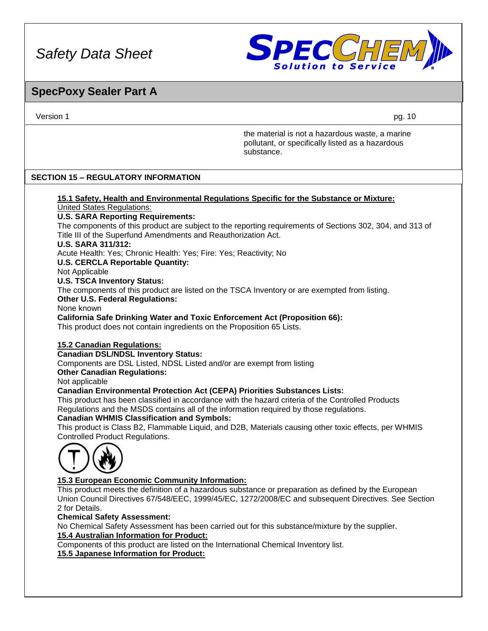

### **SpecPoxy Sealer Part A**

Version 1 pg. 10

the material is not a hazardous waste, a marine pollutant, or specifically listed as a hazardous substance.

### **SECTION 15 – REGULATORY INFORMATION**

#### **15.1 Safety, Health and Environmental Regulations Specific for the Substance or Mixture:** United States Regulations: **U.S. SARA Reporting Requirements:**

The components of this product are subject to the reporting requirements of Sections 302, 304, and 313 of Title III of the Superfund Amendments and Reauthorization Act.

#### **U.S. SARA 311/312:**

Acute Health: Yes; Chronic Health: Yes; Fire: Yes; Reactivity; No

**U.S. CERCLA Reportable Quantity:**

Not Applicable

**U.S. TSCA Inventory Status:**

The components of this product are listed on the TSCA Inventory or are exempted from listing.

**Other U.S. Federal Regulations:**

None known

**California Safe Drinking Water and Toxic Enforcement Act (Proposition 66):**

This product does not contain ingredients on the Proposition 65 Lists.

### **15.2 Canadian Regulations:**

#### **Canadian DSL/NDSL Inventory Status:**

Components are DSL Listed, NDSL Listed and/or are exempt from listing

**Other Canadian Regulations:**

Not applicable

#### **Canadian Environmental Protection Act (CEPA) Priorities Substances Lists:**

This product has been classified in accordance with the hazard criteria of the Controlled Products Regulations and the MSDS contains all of the information required by those regulations.

#### **Canadian WHMIS Classification and Symbols:**

This product is Class B2, Flammable Liquid, and D2B, Materials causing other toxic effects, per WHMIS Controlled Product Regulations.



### **15.3 European Economic Community Information:**

This product meets the definition of a hazardous substance or preparation as defined by the European Union Council Directives 67/548/EEC, 1999/45/EC, 1272/2008/EC and subsequent Directives. See Section 2 for Details.

#### **Chemical Safety Assessment:**

No Chemical Safety Assessment has been carried out for this substance/mixture by the supplier.

#### **15.4 Australian Information for Product:**

Components of this product are listed on the International Chemical Inventory list. **15.5 Japanese Information for Product:**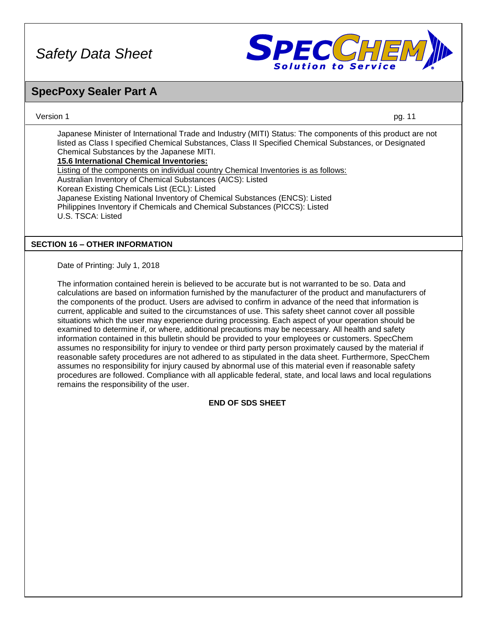

### **SpecPoxy Sealer Part A**

Version 1 pg. 11

Japanese Minister of International Trade and Industry (MITI) Status: The components of this product are not listed as Class I specified Chemical Substances, Class II Specified Chemical Substances, or Designated Chemical Substances by the Japanese MITI. **15.6 International Chemical Inventories:**

Listing of the components on individual country Chemical Inventories is as follows: Australian Inventory of Chemical Substances (AICS): Listed Korean Existing Chemicals List (ECL): Listed Japanese Existing National Inventory of Chemical Substances (ENCS): Listed Philippines Inventory if Chemicals and Chemical Substances (PICCS): Listed U.S. TSCA: Listed

### **SECTION 16 – OTHER INFORMATION**

Date of Printing: July 1, 2018

The information contained herein is believed to be accurate but is not warranted to be so. Data and calculations are based on information furnished by the manufacturer of the product and manufacturers of the components of the product. Users are advised to confirm in advance of the need that information is current, applicable and suited to the circumstances of use. This safety sheet cannot cover all possible situations which the user may experience during processing. Each aspect of your operation should be examined to determine if, or where, additional precautions may be necessary. All health and safety information contained in this bulletin should be provided to your employees or customers. SpecChem assumes no responsibility for injury to vendee or third party person proximately caused by the material if reasonable safety procedures are not adhered to as stipulated in the data sheet. Furthermore, SpecChem assumes no responsibility for injury caused by abnormal use of this material even if reasonable safety procedures are followed. Compliance with all applicable federal, state, and local laws and local regulations remains the responsibility of the user.

### **END OF SDS SHEET**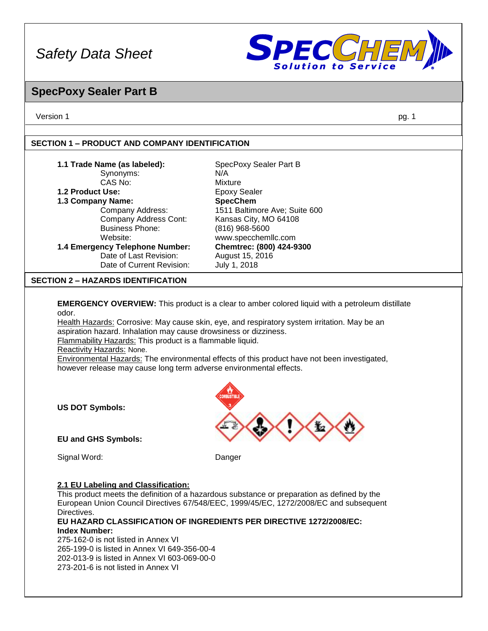

### **SpecPoxy Sealer Part B**

Version 1 pg. 1

### **SECTION 1 – PRODUCT AND COMPANY IDENTIFICATION**

| 1.1 Trade Name (as labeled):              | SpecPoxy Sealer Part B        |
|-------------------------------------------|-------------------------------|
| Synonyms:                                 | N/A                           |
| CAS No:                                   | Mixture                       |
| 1.2 Product Use:                          | <b>Epoxy Sealer</b>           |
| 1.3 Company Name:                         | <b>SpecChem</b>               |
| Company Address:                          | 1511 Baltimore Ave; Suite 600 |
| Company Address Cont:                     | Kansas City, MO 64108         |
| <b>Business Phone:</b>                    | $(816)$ 968-5600              |
| Website:                                  | www.specchemllc.com           |
| 1.4 Emergency Telephone Number:           | Chemtrec: (800) 424-9300      |
| Date of Last Revision:                    | August 15, 2016               |
| Date of Current Revision:                 | July 1, 2018                  |
| <b>SECTION 2 – HAZARDS IDENTIFICATION</b> |                               |

**EMERGENCY OVERVIEW:** This product is a clear to amber colored liquid with a petroleum distillate odor.

Health Hazards: Corrosive: May cause skin, eye, and respiratory system irritation. May be an aspiration hazard. Inhalation may cause drowsiness or dizziness. Flammability Hazards: This product is a flammable liquid.

Reactivity Hazards: None.

Environmental Hazards: The environmental effects of this product have not been investigated, however release may cause long term adverse environmental effects.

**US DOT Symbols:**

**EU and GHS Symbols:** 

Signal Word: Danger

#### **2.1 EU Labeling and Classification:**

This product meets the definition of a hazardous substance or preparation as defined by the European Union Council Directives 67/548/EEC, 1999/45/EC, 1272/2008/EC and subsequent Directives.

**EU HAZARD CLASSIFICATION OF INGREDIENTS PER DIRECTIVE 1272/2008/EC: Index Number:**

275-162-0 is not listed in Annex VI 265-199-0 is listed in Annex VI 649-356-00-4 202-013-9 is listed in Annex VI 603-069-00-0 273-201-6 is not listed in Annex VI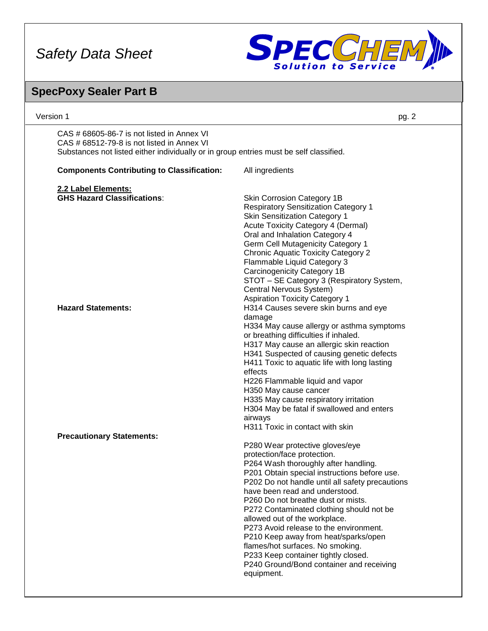

### Version 1 pg. 2 **SpecPoxy Sealer Part B** CAS # 68605-86-7 is not listed in Annex VI CAS # 68512-79-8 is not listed in Annex VI Substances not listed either individually or in group entries must be self classified. **Components Contributing to Classification:** All ingredients **2.2 Label Elements: GHS Hazard Classifications:** Skin Corrosion Category 1B Respiratory Sensitization Category 1 Skin Sensitization Category 1 Acute Toxicity Category 4 (Dermal) Oral and Inhalation Category 4 Germ Cell Mutagenicity Category 1 Chronic Aquatic Toxicity Category 2 Flammable Liquid Category 3 Carcinogenicity Category 1B STOT – SE Category 3 (Respiratory System, Central Nervous System) Aspiration Toxicity Category 1 **Hazard Statements:** H314 Causes severe skin burns and eye damage H334 May cause allergy or asthma symptoms or breathing difficulties if inhaled. H317 May cause an allergic skin reaction H341 Suspected of causing genetic defects H411 Toxic to aquatic life with long lasting effects H226 Flammable liquid and vapor H350 May cause cancer H335 May cause respiratory irritation H304 May be fatal if swallowed and enters airways H311 Toxic in contact with skin **Precautionary Statements:**  P280 Wear protective gloves/eye protection/face protection. P264 Wash thoroughly after handling. P201 Obtain special instructions before use. P202 Do not handle until all safety precautions have been read and understood. P260 Do not breathe dust or mists. P272 Contaminated clothing should not be allowed out of the workplace. P273 Avoid release to the environment. P210 Keep away from heat/sparks/open flames/hot surfaces. No smoking. P233 Keep container tightly closed. P240 Ground/Bond container and receiving equipment.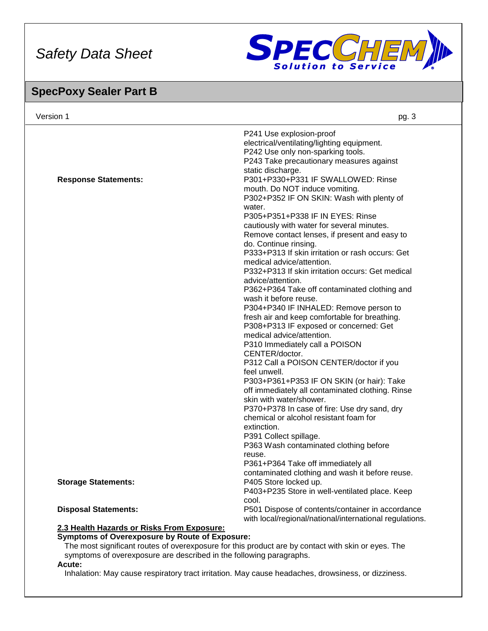

### **SpecPoxy Sealer Part B**

| Version 1                                  | pg. 3                                                                                                       |
|--------------------------------------------|-------------------------------------------------------------------------------------------------------------|
|                                            | P241 Use explosion-proof<br>electrical/ventilating/lighting equipment.                                      |
|                                            | P242 Use only non-sparking tools.<br>P243 Take precautionary measures against                               |
|                                            | static discharge.                                                                                           |
| <b>Response Statements:</b>                | P301+P330+P331 IF SWALLOWED: Rinse                                                                          |
|                                            | mouth. Do NOT induce vomiting.                                                                              |
|                                            | P302+P352 IF ON SKIN: Wash with plenty of                                                                   |
|                                            | water.                                                                                                      |
|                                            | P305+P351+P338 IF IN EYES: Rinse                                                                            |
|                                            | cautiously with water for several minutes.                                                                  |
|                                            | Remove contact lenses, if present and easy to                                                               |
|                                            | do. Continue rinsing.                                                                                       |
|                                            | P333+P313 If skin irritation or rash occurs: Get                                                            |
|                                            | medical advice/attention.                                                                                   |
|                                            | P332+P313 If skin irritation occurs: Get medical                                                            |
|                                            | advice/attention.                                                                                           |
|                                            | P362+P364 Take off contaminated clothing and                                                                |
|                                            | wash it before reuse.                                                                                       |
|                                            | P304+P340 IF INHALED: Remove person to                                                                      |
|                                            | fresh air and keep comfortable for breathing.                                                               |
|                                            | P308+P313 IF exposed or concerned: Get<br>medical advice/attention.                                         |
|                                            |                                                                                                             |
|                                            | P310 Immediately call a POISON<br>CENTER/doctor.                                                            |
|                                            | P312 Call a POISON CENTER/doctor if you                                                                     |
|                                            | feel unwell.                                                                                                |
|                                            | P303+P361+P353 IF ON SKIN (or hair): Take                                                                   |
|                                            | off immediately all contaminated clothing. Rinse                                                            |
|                                            | skin with water/shower.                                                                                     |
|                                            | P370+P378 In case of fire: Use dry sand, dry                                                                |
|                                            | chemical or alcohol resistant foam for                                                                      |
|                                            | extinction.                                                                                                 |
|                                            | P391 Collect spillage.                                                                                      |
|                                            | P363 Wash contaminated clothing before                                                                      |
|                                            | reuse.                                                                                                      |
|                                            | P361+P364 Take off immediately all                                                                          |
|                                            | contaminated clothing and wash it before reuse.                                                             |
| <b>Storage Statements:</b>                 | P405 Store locked up.                                                                                       |
|                                            | P403+P235 Store in well-ventilated place. Keep                                                              |
|                                            | cool.                                                                                                       |
| <b>Disposal Statements:</b>                | P501 Dispose of contents/container in accordance<br>with local/regional/national/international regulations. |
| 2.3 Health Hazards or Risks From Exposure: |                                                                                                             |
|                                            |                                                                                                             |

#### **Symptoms of Overexposure by Route of Exposure:**

The most significant routes of overexposure for this product are by contact with skin or eyes. The symptoms of overexposure are described in the following paragraphs.

#### **Acute:**

Inhalation: May cause respiratory tract irritation. May cause headaches, drowsiness, or dizziness.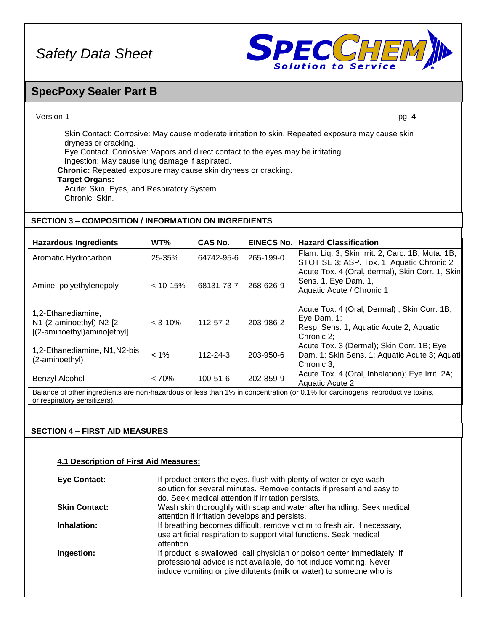

### **SpecPoxy Sealer Part B**

### Version 1 pg. 4

Skin Contact: Corrosive: May cause moderate irritation to skin. Repeated exposure may cause skin dryness or cracking.

Eye Contact: Corrosive: Vapors and direct contact to the eyes may be irritating.

Ingestion: May cause lung damage if aspirated.

**Chronic:** Repeated exposure may cause skin dryness or cracking.

#### **Target Organs:**

Acute: Skin, Eyes, and Respiratory System Chronic: Skin.

### **SECTION 3 – COMPOSITION / INFORMATION ON INGREDIENTS**

| <b>Hazardous Ingredients</b>                                                  | WT%          | CAS No.        | <b>EINECS No.</b> | <b>Hazard Classification</b>                                                                                                                                                                          |
|-------------------------------------------------------------------------------|--------------|----------------|-------------------|-------------------------------------------------------------------------------------------------------------------------------------------------------------------------------------------------------|
| Aromatic Hydrocarbon                                                          | 25-35%       | 64742-95-6     | 265-199-0         | Flam. Liq. 3; Skin Irrit. 2; Carc. 1B, Muta. 1B;<br>STOT SE 3; ASP. Tox. 1, Aquatic Chronic 2                                                                                                         |
| Amine, polyethylenepoly                                                       | $< 10 - 15%$ | 68131-73-7     | 268-626-9         | Acute Tox. 4 (Oral, dermal), Skin Corr. 1, Skin<br>Sens. 1, Eye Dam. 1,<br>Aquatic Acute / Chronic 1                                                                                                  |
| 1,2-Ethanediamine,<br>N1-(2-aminoethyl)-N2-[2-<br>[(2-aminoethyl)amino]ethyl] | $<$ 3-10%    | $112 - 57 - 2$ | 203-986-2         | Acute Tox. 4 (Oral, Dermal); Skin Corr. 1B;<br>Eye Dam. $1$ ;<br>Resp. Sens. 1; Aquatic Acute 2; Aquatic<br>Chronic 2;                                                                                |
| 1,2-Ethanediamine, N1, N2-bis<br>(2-aminoethyl)                               | $< 1\%$      | $112 - 24 - 3$ | 203-950-6         | Acute Tox. 3 (Dermal); Skin Corr. 1B; Eye<br>Dam. 1; Skin Sens. 1; Aquatic Acute 3; Aquation<br>Chronic 3:                                                                                            |
| Benzyl Alcohol                                                                | < 70%        | 100-51-6       | 202-859-9         | Acute Tox. 4 (Oral, Inhalation); Eye Irrit. 2A;<br>Aquatic Acute 2:<br>Relation of other ingradiante are non-bazardous or loss than 1% in concentration (or 0.1% for carsinogens, reproductive toxing |

Balance of other ingredients are non-hazardous or less than 1% in concentration (or 0.1% for carcinogens, reproductive toxins, or respiratory sensitizers).

### **SECTION 4 – FIRST AID MEASURES**

### **4.1 Description of First Aid Measures:**

| <b>Eye Contact:</b>  | If product enters the eyes, flush with plenty of water or eye wash<br>solution for several minutes. Remove contacts if present and easy to<br>do. Seek medical attention if irritation persists.                       |
|----------------------|------------------------------------------------------------------------------------------------------------------------------------------------------------------------------------------------------------------------|
| <b>Skin Contact:</b> | Wash skin thoroughly with soap and water after handling. Seek medical<br>attention if irritation develops and persists.                                                                                                |
| Inhalation:          | If breathing becomes difficult, remove victim to fresh air. If necessary,<br>use artificial respiration to support vital functions. Seek medical<br>attention.                                                         |
| Ingestion:           | If product is swallowed, call physician or poison center immediately. If<br>professional advice is not available, do not induce vomiting. Never<br>induce vomiting or give dilutents (milk or water) to someone who is |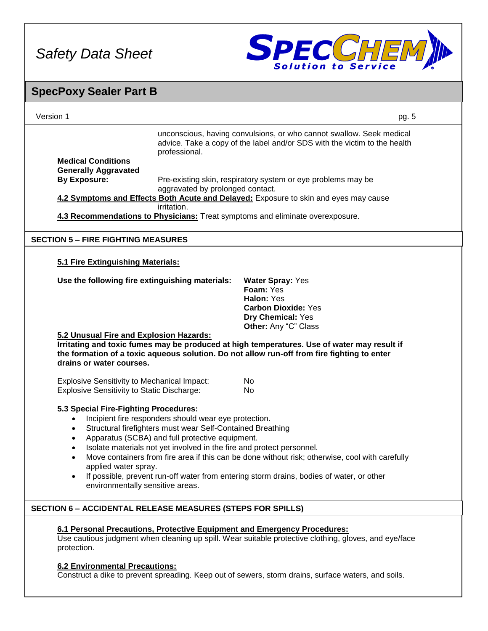

| <b>SpecPoxy Sealer Part B</b>                                                                           |                                                                                                                          |                                                                                                                                                                                            |  |
|---------------------------------------------------------------------------------------------------------|--------------------------------------------------------------------------------------------------------------------------|--------------------------------------------------------------------------------------------------------------------------------------------------------------------------------------------|--|
| Version 1                                                                                               |                                                                                                                          | pg. 5                                                                                                                                                                                      |  |
|                                                                                                         | professional.                                                                                                            | unconscious, having convulsions, or who cannot swallow. Seek medical<br>advice. Take a copy of the label and/or SDS with the victim to the health                                          |  |
| <b>Medical Conditions</b>                                                                               |                                                                                                                          |                                                                                                                                                                                            |  |
| <b>Generally Aggravated</b><br><b>By Exposure:</b>                                                      |                                                                                                                          | Pre-existing skin, respiratory system or eye problems may be                                                                                                                               |  |
|                                                                                                         | aggravated by prolonged contact.                                                                                         |                                                                                                                                                                                            |  |
|                                                                                                         | irritation.                                                                                                              | 4.2 Symptoms and Effects Both Acute and Delayed: Exposure to skin and eyes may cause                                                                                                       |  |
|                                                                                                         |                                                                                                                          | 4.3 Recommendations to Physicians: Treat symptoms and eliminate overexposure.                                                                                                              |  |
| <b>SECTION 5 - FIRE FIGHTING MEASURES</b>                                                               |                                                                                                                          |                                                                                                                                                                                            |  |
| 5.1 Fire Extinguishing Materials:                                                                       |                                                                                                                          |                                                                                                                                                                                            |  |
|                                                                                                         |                                                                                                                          |                                                                                                                                                                                            |  |
| Use the following fire extinguishing materials:                                                         |                                                                                                                          | <b>Water Spray: Yes</b><br>Foam: Yes                                                                                                                                                       |  |
|                                                                                                         |                                                                                                                          | Halon: Yes                                                                                                                                                                                 |  |
|                                                                                                         |                                                                                                                          | <b>Carbon Dioxide: Yes</b>                                                                                                                                                                 |  |
|                                                                                                         |                                                                                                                          | Dry Chemical: Yes<br>Other: Any "C" Class                                                                                                                                                  |  |
| 5.2 Unusual Fire and Explosion Hazards:<br>drains or water courses.                                     |                                                                                                                          | Irritating and toxic fumes may be produced at high temperatures. Use of water may result if<br>the formation of a toxic aqueous solution. Do not allow run-off from fire fighting to enter |  |
| <b>Explosive Sensitivity to Mechanical Impact:</b><br><b>Explosive Sensitivity to Static Discharge:</b> |                                                                                                                          | No<br>No.                                                                                                                                                                                  |  |
| 5.3 Special Fire-Fighting Procedures:                                                                   |                                                                                                                          |                                                                                                                                                                                            |  |
|                                                                                                         | Incipient fire responders should wear eye protection.                                                                    |                                                                                                                                                                                            |  |
|                                                                                                         | Structural firefighters must wear Self-Contained Breathing                                                               |                                                                                                                                                                                            |  |
| $\bullet$                                                                                               | Apparatus (SCBA) and full protective equipment.<br>Isolate materials not yet involved in the fire and protect personnel. |                                                                                                                                                                                            |  |
|                                                                                                         |                                                                                                                          | Move containers from fire area if this can be done without risk; otherwise, cool with carefully                                                                                            |  |
| applied water spray.                                                                                    |                                                                                                                          |                                                                                                                                                                                            |  |
| $\bullet$<br>environmentally sensitive areas.                                                           |                                                                                                                          | If possible, prevent run-off water from entering storm drains, bodies of water, or other                                                                                                   |  |
| <b>SECTION 6 - ACCIDENTAL RELEASE MEASURES (STEPS FOR SPILLS)</b>                                       |                                                                                                                          |                                                                                                                                                                                            |  |
|                                                                                                         |                                                                                                                          |                                                                                                                                                                                            |  |
| protection.                                                                                             |                                                                                                                          | 6.1 Personal Precautions, Protective Equipment and Emergency Procedures:<br>Use cautious judgment when cleaning up spill. Wear suitable protective clothing, gloves, and eye/face          |  |
| <b>6.2 Environmental Precautions:</b>                                                                   |                                                                                                                          | Construct a dike to prevent spreading. Keep out of sewers, storm drains, surface waters, and soils.                                                                                        |  |
|                                                                                                         |                                                                                                                          |                                                                                                                                                                                            |  |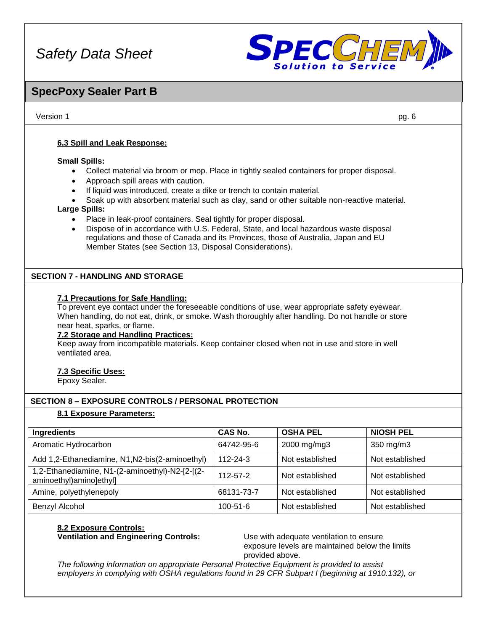

### **SpecPoxy Sealer Part B**

Version 1 pg. 6

### **6.3 Spill and Leak Response:**

#### **Small Spills:**

- Collect material via broom or mop. Place in tightly sealed containers for proper disposal.
- Approach spill areas with caution.
- If liquid was introduced, create a dike or trench to contain material.
- Soak up with absorbent material such as clay, sand or other suitable non-reactive material.

#### **Large Spills:**

- Place in leak-proof containers. Seal tightly for proper disposal.
- Dispose of in accordance with U.S. Federal, State, and local hazardous waste disposal regulations and those of Canada and its Provinces, those of Australia, Japan and EU Member States (see Section 13, Disposal Considerations).

### **SECTION 7 - HANDLING AND STORAGE**

### **7.1 Precautions for Safe Handling:**

To prevent eye contact under the foreseeable conditions of use, wear appropriate safety eyewear. When handling, do not eat, drink, or smoke. Wash thoroughly after handling. Do not handle or store near heat, sparks, or flame.

#### **7.2 Storage and Handling Practices:**

Keep away from incompatible materials. Keep container closed when not in use and store in well ventilated area.

### **7.3 Specific Uses:**

Epoxy Sealer.

### **SECTION 8 – EXPOSURE CONTROLS / PERSONAL PROTECTION**

### **8.1 Exposure Parameters:**

| Ingredients                                                                | <b>CAS No.</b> | <b>OSHA PEL</b> | <b>NIOSH PEL</b> |
|----------------------------------------------------------------------------|----------------|-----------------|------------------|
| Aromatic Hydrocarbon                                                       | 64742-95-6     | 2000 mg/mg3     | 350 mg/m3        |
| Add 1,2-Ethanediamine, N1, N2-bis(2-aminoethyl)                            | 112-24-3       | Not established | Not established  |
| 1,2-Ethanediamine, N1-(2-aminoethyl)-N2-[2-[(2-<br>aminoethyl)amino]ethyl] | 112-57-2       | Not established | Not established  |
| Amine, polyethylenepoly                                                    | 68131-73-7     | Not established | Not established  |
| Benzyl Alcohol                                                             | $100 - 51 - 6$ | Not established | Not established  |

## **8.2 Exposure Controls:**

**Ventilation and Engineering Controls:** Use with adequate ventilation to ensure exposure levels are maintained below the limits provided above.

*The following information on appropriate Personal Protective Equipment is provided to assist employers in complying with OSHA regulations found in 29 CFR Subpart I (beginning at 1910.132), or*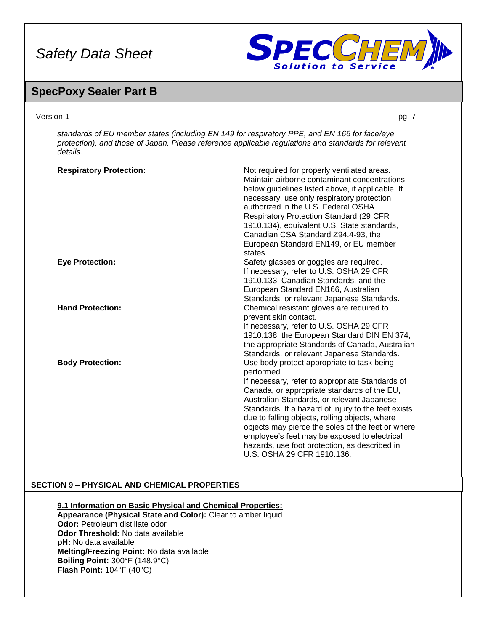

## **SpecPoxy Sealer Part B**

| Version 1                                                                                                                                                                                                                                                                                                                                              | pg. 7                                                                                                                                                                                                                                                                                                                                                                                                                                                                                                 |
|--------------------------------------------------------------------------------------------------------------------------------------------------------------------------------------------------------------------------------------------------------------------------------------------------------------------------------------------------------|-------------------------------------------------------------------------------------------------------------------------------------------------------------------------------------------------------------------------------------------------------------------------------------------------------------------------------------------------------------------------------------------------------------------------------------------------------------------------------------------------------|
| details.                                                                                                                                                                                                                                                                                                                                               | standards of EU member states (including EN 149 for respiratory PPE, and EN 166 for face/eye<br>protection), and those of Japan. Please reference applicable regulations and standards for relevant                                                                                                                                                                                                                                                                                                   |
| <b>Respiratory Protection:</b>                                                                                                                                                                                                                                                                                                                         | Not required for properly ventilated areas.<br>Maintain airborne contaminant concentrations<br>below guidelines listed above, if applicable. If<br>necessary, use only respiratory protection<br>authorized in the U.S. Federal OSHA<br><b>Respiratory Protection Standard (29 CFR</b><br>1910.134), equivalent U.S. State standards,<br>Canadian CSA Standard Z94.4-93, the<br>European Standard EN149, or EU member<br>states.                                                                      |
| <b>Eye Protection:</b>                                                                                                                                                                                                                                                                                                                                 | Safety glasses or goggles are required.<br>If necessary, refer to U.S. OSHA 29 CFR<br>1910.133, Canadian Standards, and the<br>European Standard EN166, Australian<br>Standards, or relevant Japanese Standards.                                                                                                                                                                                                                                                                                      |
| <b>Hand Protection:</b>                                                                                                                                                                                                                                                                                                                                | Chemical resistant gloves are required to<br>prevent skin contact.<br>If necessary, refer to U.S. OSHA 29 CFR<br>1910.138, the European Standard DIN EN 374,<br>the appropriate Standards of Canada, Australian<br>Standards, or relevant Japanese Standards.                                                                                                                                                                                                                                         |
| <b>Body Protection:</b>                                                                                                                                                                                                                                                                                                                                | Use body protect appropriate to task being<br>performed.<br>If necessary, refer to appropriate Standards of<br>Canada, or appropriate standards of the EU,<br>Australian Standards, or relevant Japanese<br>Standards. If a hazard of injury to the feet exists<br>due to falling objects, rolling objects, where<br>objects may pierce the soles of the feet or where<br>employee's feet may be exposed to electrical<br>hazards, use foot protection, as described in<br>U.S. OSHA 29 CFR 1910.136. |
| <b>SECTION 9 - PHYSICAL AND CHEMICAL PROPERTIES</b>                                                                                                                                                                                                                                                                                                    |                                                                                                                                                                                                                                                                                                                                                                                                                                                                                                       |
| 9.1 Information on Basic Physical and Chemical Properties:<br>Appearance (Physical State and Color): Clear to amber liquid<br>Odor: Petroleum distillate odor<br>Odor Threshold: No data available<br>pH: No data available<br>Melting/Freezing Point: No data available<br>Boiling Point: 300°F (148.9°C)<br>Flash Point: $104^{\circ}F(40^{\circ}C)$ |                                                                                                                                                                                                                                                                                                                                                                                                                                                                                                       |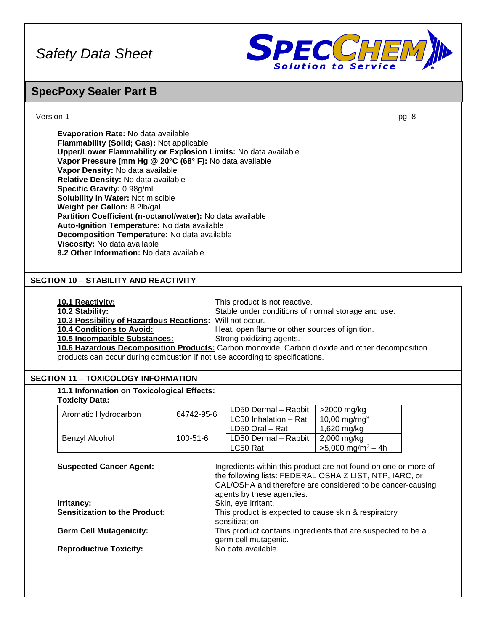

### **SpecPoxy Sealer Part B**

| Evaporation Rate: No data available<br>Flammability (Solid; Gas): Not applicable<br>Upper/Lower Flammability or Explosion Limits: No data available<br>Vapor Pressure (mm Hg @ 20°C (68° F): No data available<br>Vapor Density: No data available<br>Relative Density: No data available<br>Specific Gravity: 0.98g/mL<br>Solubility in Water: Not miscible<br>Weight per Gallon: 8.2lb/gal<br>Partition Coefficient (n-octanol/water): No data available<br>Auto-Ignition Temperature: No data available<br>Decomposition Temperature: No data available<br>Viscosity: No data available<br>9.2 Other Information: No data available<br><b>SECTION 10 - STABILITY AND REACTIVITY</b><br>10.1 Reactivity:<br>This product is not reactive.<br>10.2 Stability:<br>Stable under conditions of normal storage and use.<br>10.3 Possibility of Hazardous Reactions: Will not occur.<br>10.4 Conditions to Avoid:<br>Heat, open flame or other sources of ignition.<br>10.5 Incompatible Substances:<br>Strong oxidizing agents.<br>10.6 Hazardous Decomposition Products: Carbon monoxide, Carbon dioxide and other decomposition<br>products can occur during combustion if not use according to specifications.<br><b>SECTION 11 - TOXICOLOGY INFORMATION</b><br>11.1 Information on Toxicological Effects:<br><b>Toxicity Data:</b><br>LD50 Dermal - Rabbit<br>>2000 mg/kg<br>64742-95-6<br>Aromatic Hydrocarbon<br>LC50 Inhalation - Rat<br>10,00 mg/mg <sup>3</sup><br>LD50 Oral - Rat<br>1,620 mg/kg<br>LD50 Dermal - Rabbit<br>2,000 mg/kg<br>100-51-6<br>Benzyl Alcohol<br>LC50 Rat<br>$>5,000$ mg/m <sup>3</sup> - 4h<br><b>Suspected Cancer Agent:</b><br>Ingredients within this product are not found on one or more of<br>the following lists: FEDERAL OSHA Z LIST, NTP, IARC, or<br>CAL/OSHA and therefore are considered to be cancer-causing<br>agents by these agencies.<br>Irritancy:<br>Skin, eye irritant.<br><b>Sensitization to the Product:</b><br>This product is expected to cause skin & respiratory<br>sensitization.<br><b>Germ Cell Mutagenicity:</b><br>This product contains ingredients that are suspected to be a<br>germ cell mutagenic. |  |  |  | pg. 8 |
|-------------------------------------------------------------------------------------------------------------------------------------------------------------------------------------------------------------------------------------------------------------------------------------------------------------------------------------------------------------------------------------------------------------------------------------------------------------------------------------------------------------------------------------------------------------------------------------------------------------------------------------------------------------------------------------------------------------------------------------------------------------------------------------------------------------------------------------------------------------------------------------------------------------------------------------------------------------------------------------------------------------------------------------------------------------------------------------------------------------------------------------------------------------------------------------------------------------------------------------------------------------------------------------------------------------------------------------------------------------------------------------------------------------------------------------------------------------------------------------------------------------------------------------------------------------------------------------------------------------------------------------------------------------------------------------------------------------------------------------------------------------------------------------------------------------------------------------------------------------------------------------------------------------------------------------------------------------------------------------------------------------------------------------------------------------------------------------------------------------------------------------------------------------------------|--|--|--|-------|
|                                                                                                                                                                                                                                                                                                                                                                                                                                                                                                                                                                                                                                                                                                                                                                                                                                                                                                                                                                                                                                                                                                                                                                                                                                                                                                                                                                                                                                                                                                                                                                                                                                                                                                                                                                                                                                                                                                                                                                                                                                                                                                                                                                         |  |  |  |       |
|                                                                                                                                                                                                                                                                                                                                                                                                                                                                                                                                                                                                                                                                                                                                                                                                                                                                                                                                                                                                                                                                                                                                                                                                                                                                                                                                                                                                                                                                                                                                                                                                                                                                                                                                                                                                                                                                                                                                                                                                                                                                                                                                                                         |  |  |  |       |
|                                                                                                                                                                                                                                                                                                                                                                                                                                                                                                                                                                                                                                                                                                                                                                                                                                                                                                                                                                                                                                                                                                                                                                                                                                                                                                                                                                                                                                                                                                                                                                                                                                                                                                                                                                                                                                                                                                                                                                                                                                                                                                                                                                         |  |  |  |       |
|                                                                                                                                                                                                                                                                                                                                                                                                                                                                                                                                                                                                                                                                                                                                                                                                                                                                                                                                                                                                                                                                                                                                                                                                                                                                                                                                                                                                                                                                                                                                                                                                                                                                                                                                                                                                                                                                                                                                                                                                                                                                                                                                                                         |  |  |  |       |
|                                                                                                                                                                                                                                                                                                                                                                                                                                                                                                                                                                                                                                                                                                                                                                                                                                                                                                                                                                                                                                                                                                                                                                                                                                                                                                                                                                                                                                                                                                                                                                                                                                                                                                                                                                                                                                                                                                                                                                                                                                                                                                                                                                         |  |  |  |       |
|                                                                                                                                                                                                                                                                                                                                                                                                                                                                                                                                                                                                                                                                                                                                                                                                                                                                                                                                                                                                                                                                                                                                                                                                                                                                                                                                                                                                                                                                                                                                                                                                                                                                                                                                                                                                                                                                                                                                                                                                                                                                                                                                                                         |  |  |  |       |
|                                                                                                                                                                                                                                                                                                                                                                                                                                                                                                                                                                                                                                                                                                                                                                                                                                                                                                                                                                                                                                                                                                                                                                                                                                                                                                                                                                                                                                                                                                                                                                                                                                                                                                                                                                                                                                                                                                                                                                                                                                                                                                                                                                         |  |  |  |       |
|                                                                                                                                                                                                                                                                                                                                                                                                                                                                                                                                                                                                                                                                                                                                                                                                                                                                                                                                                                                                                                                                                                                                                                                                                                                                                                                                                                                                                                                                                                                                                                                                                                                                                                                                                                                                                                                                                                                                                                                                                                                                                                                                                                         |  |  |  |       |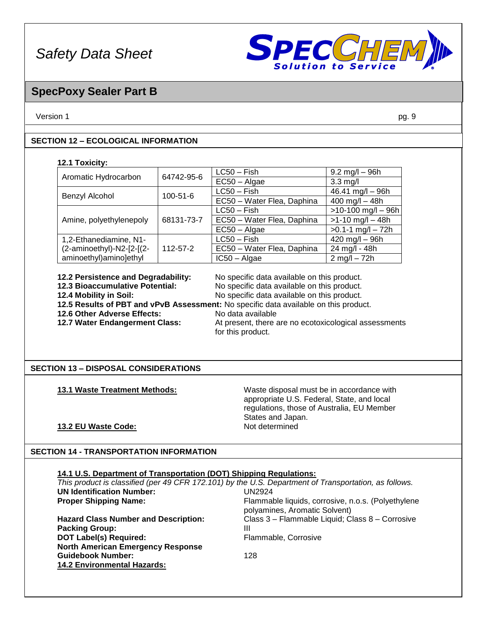

### **SpecPoxy Sealer Part B**

Version 1 pg. 9

### **SECTION 12 – ECOLOGICAL INFORMATION**

### **12.1 Toxicity:**

| 64742-95-6<br>Aromatic Hydrocarbon    |                            | $LC50 - Fish$              | $9.2 \text{ mg/l} - 96 \text{h}$ |
|---------------------------------------|----------------------------|----------------------------|----------------------------------|
|                                       |                            | $EC50 - Algae$             | $3.3 \text{ mg/l}$               |
|                                       | $100 - 51 - 6$             | $LC50 - Fish$              | $46.41$ mg/l $-96h$              |
| Benzyl Alcohol                        |                            | EC50 - Water Flea, Daphina | $400$ mg/l $- 48h$               |
|                                       |                            |                            | $>10-100$ mg/l - 96h             |
| 68131-73-7<br>Amine, polyethylenepoly | EC50 - Water Flea, Daphina | $>1-10$ mg/l $-48h$        |                                  |
|                                       |                            | $EC50 - Algae$             | $>0.1 - 1$ mg/l $- 72h$          |
| 1,2-Ethanediamine, N1-                |                            | $LC50 - Fish$              | $420$ mg/l $-$ 96h               |
| (2-aminoethyl)-N2-[2-[(2-             | $112 - 57 - 2$             | EC50 - Water Flea, Daphina | 24 mg/l - 48h                    |
| aminoethyl)amino]ethyl                |                            | $IC50 - Algae$             | $2$ mg/l $- 72h$                 |

**12.2 Persistence and Degradability:** No specific data available on this product.

**12.3 Bioaccumulative Potential:** No specific data available on this product. **12.4 Mobility in Soil:** No specific data available on this product.

**12.5 Results of PBT and vPvB Assessment:** No specific data available on this product.

**12.6 Other Adverse Effects:** No data available

**12.7 Water Endangerment Class:** At present, there are no ecotoxicological assessments for this product.

### **SECTION 13 – DISPOSAL CONSIDERATIONS**

**13.1 Waste Treatment Methods:** Waste disposal must be in accordance with appropriate U.S. Federal, State, and local regulations, those of Australia, EU Member States and Japan.<br>Not determined

### **13.2 EU Waste Code:**

### **SECTION 14 - TRANSPORTATION INFORMATION**

### **14.1 U.S. Department of Transportation (DOT) Shipping Regulations:**

| This product is classified (per 49 CFR 172.101) by the U.S. Department of Transportation, as follows. |                                                                                     |
|-------------------------------------------------------------------------------------------------------|-------------------------------------------------------------------------------------|
| <b>UN Identification Number:</b>                                                                      | UN2924                                                                              |
| <b>Proper Shipping Name:</b>                                                                          | Flammable liquids, corrosive, n.o.s. (Polyethylene<br>polyamines, Aromatic Solvent) |
| <b>Hazard Class Number and Description:</b>                                                           | Class 3 - Flammable Liquid; Class 8 - Corrosive                                     |
| <b>Packing Group:</b>                                                                                 | Ш                                                                                   |
| <b>DOT Label(s) Required:</b>                                                                         | Flammable, Corrosive                                                                |
| <b>North American Emergency Response</b>                                                              |                                                                                     |
| <b>Guidebook Number:</b>                                                                              | 128                                                                                 |
| <b>14.2 Environmental Hazards:</b>                                                                    |                                                                                     |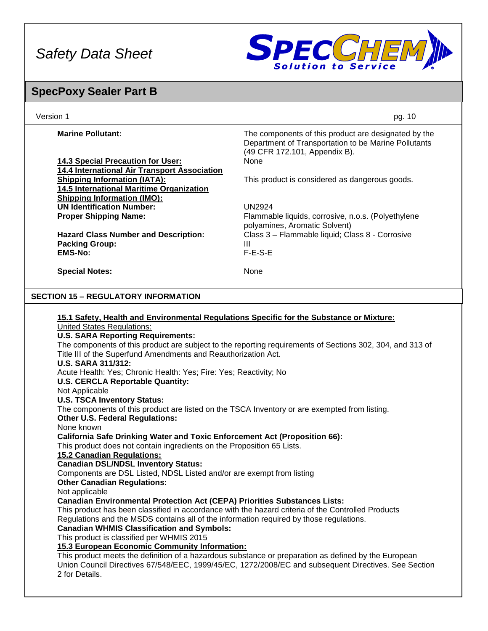

## **SpecPoxy Sealer Part B**

| Version 1                                                                                                                                                                                                                                                                                                                                                                                                                                                                                                                                                                                                                                                                                                                                                                                                                                                                                                                                                                                                                                                                                                                                                                                                                                                                                                                                                                                                                                              | pg. 10                                                                                                                                                                                                                                                                                                                    |
|--------------------------------------------------------------------------------------------------------------------------------------------------------------------------------------------------------------------------------------------------------------------------------------------------------------------------------------------------------------------------------------------------------------------------------------------------------------------------------------------------------------------------------------------------------------------------------------------------------------------------------------------------------------------------------------------------------------------------------------------------------------------------------------------------------------------------------------------------------------------------------------------------------------------------------------------------------------------------------------------------------------------------------------------------------------------------------------------------------------------------------------------------------------------------------------------------------------------------------------------------------------------------------------------------------------------------------------------------------------------------------------------------------------------------------------------------------|---------------------------------------------------------------------------------------------------------------------------------------------------------------------------------------------------------------------------------------------------------------------------------------------------------------------------|
| <b>Marine Pollutant:</b>                                                                                                                                                                                                                                                                                                                                                                                                                                                                                                                                                                                                                                                                                                                                                                                                                                                                                                                                                                                                                                                                                                                                                                                                                                                                                                                                                                                                                               | The components of this product are designated by the<br>Department of Transportation to be Marine Pollutants<br>(49 CFR 172.101, Appendix B).                                                                                                                                                                             |
| 14.3 Special Precaution for User:                                                                                                                                                                                                                                                                                                                                                                                                                                                                                                                                                                                                                                                                                                                                                                                                                                                                                                                                                                                                                                                                                                                                                                                                                                                                                                                                                                                                                      | None                                                                                                                                                                                                                                                                                                                      |
| 14.4 International Air Transport Association<br><b>Shipping Information (IATA):</b>                                                                                                                                                                                                                                                                                                                                                                                                                                                                                                                                                                                                                                                                                                                                                                                                                                                                                                                                                                                                                                                                                                                                                                                                                                                                                                                                                                    | This product is considered as dangerous goods.                                                                                                                                                                                                                                                                            |
| 14.5 International Maritime Organization                                                                                                                                                                                                                                                                                                                                                                                                                                                                                                                                                                                                                                                                                                                                                                                                                                                                                                                                                                                                                                                                                                                                                                                                                                                                                                                                                                                                               |                                                                                                                                                                                                                                                                                                                           |
| <b>Shipping Information (IMO):</b><br><b>UN Identification Number:</b>                                                                                                                                                                                                                                                                                                                                                                                                                                                                                                                                                                                                                                                                                                                                                                                                                                                                                                                                                                                                                                                                                                                                                                                                                                                                                                                                                                                 | <b>UN2924</b>                                                                                                                                                                                                                                                                                                             |
| <b>Proper Shipping Name:</b>                                                                                                                                                                                                                                                                                                                                                                                                                                                                                                                                                                                                                                                                                                                                                                                                                                                                                                                                                                                                                                                                                                                                                                                                                                                                                                                                                                                                                           | Flammable liquids, corrosive, n.o.s. (Polyethylene                                                                                                                                                                                                                                                                        |
| <b>Hazard Class Number and Description:</b>                                                                                                                                                                                                                                                                                                                                                                                                                                                                                                                                                                                                                                                                                                                                                                                                                                                                                                                                                                                                                                                                                                                                                                                                                                                                                                                                                                                                            | polyamines, Aromatic Solvent)<br>Class 3 - Flammable liquid; Class 8 - Corrosive                                                                                                                                                                                                                                          |
| <b>Packing Group:</b>                                                                                                                                                                                                                                                                                                                                                                                                                                                                                                                                                                                                                                                                                                                                                                                                                                                                                                                                                                                                                                                                                                                                                                                                                                                                                                                                                                                                                                  | Ш                                                                                                                                                                                                                                                                                                                         |
| <b>EMS-No:</b>                                                                                                                                                                                                                                                                                                                                                                                                                                                                                                                                                                                                                                                                                                                                                                                                                                                                                                                                                                                                                                                                                                                                                                                                                                                                                                                                                                                                                                         | $F-E-S-E$                                                                                                                                                                                                                                                                                                                 |
| <b>Special Notes:</b>                                                                                                                                                                                                                                                                                                                                                                                                                                                                                                                                                                                                                                                                                                                                                                                                                                                                                                                                                                                                                                                                                                                                                                                                                                                                                                                                                                                                                                  | None                                                                                                                                                                                                                                                                                                                      |
| <b>SECTION 15 - REGULATORY INFORMATION</b>                                                                                                                                                                                                                                                                                                                                                                                                                                                                                                                                                                                                                                                                                                                                                                                                                                                                                                                                                                                                                                                                                                                                                                                                                                                                                                                                                                                                             |                                                                                                                                                                                                                                                                                                                           |
| 15.1 Safety, Health and Environmental Regulations Specific for the Substance or Mixture:<br><b>United States Regulations:</b><br><b>U.S. SARA Reporting Requirements:</b><br>Title III of the Superfund Amendments and Reauthorization Act.<br><b>U.S. SARA 311/312:</b><br>Acute Health: Yes; Chronic Health: Yes; Fire: Yes; Reactivity; No<br><b>U.S. CERCLA Reportable Quantity:</b><br>Not Applicable<br><b>U.S. TSCA Inventory Status:</b><br>The components of this product are listed on the TSCA Inventory or are exempted from listing.<br><b>Other U.S. Federal Regulations:</b><br>None known<br><b>California Safe Drinking Water and Toxic Enforcement Act (Proposition 66):</b><br>This product does not contain ingredients on the Proposition 65 Lists.<br><b>15.2 Canadian Regulations:</b><br><b>Canadian DSL/NDSL Inventory Status:</b><br>Components are DSL Listed, NDSL Listed and/or are exempt from listing<br><b>Other Canadian Regulations:</b><br>Not applicable<br><b>Canadian Environmental Protection Act (CEPA) Priorities Substances Lists:</b><br>This product has been classified in accordance with the hazard criteria of the Controlled Products<br>Regulations and the MSDS contains all of the information required by those regulations.<br><b>Canadian WHMIS Classification and Symbols:</b><br>This product is classified per WHMIS 2015<br>15.3 European Economic Community Information:<br>2 for Details. | The components of this product are subject to the reporting requirements of Sections 302, 304, and 313 of<br>This product meets the definition of a hazardous substance or preparation as defined by the European<br>Union Council Directives 67/548/EEC, 1999/45/EC, 1272/2008/EC and subsequent Directives. See Section |